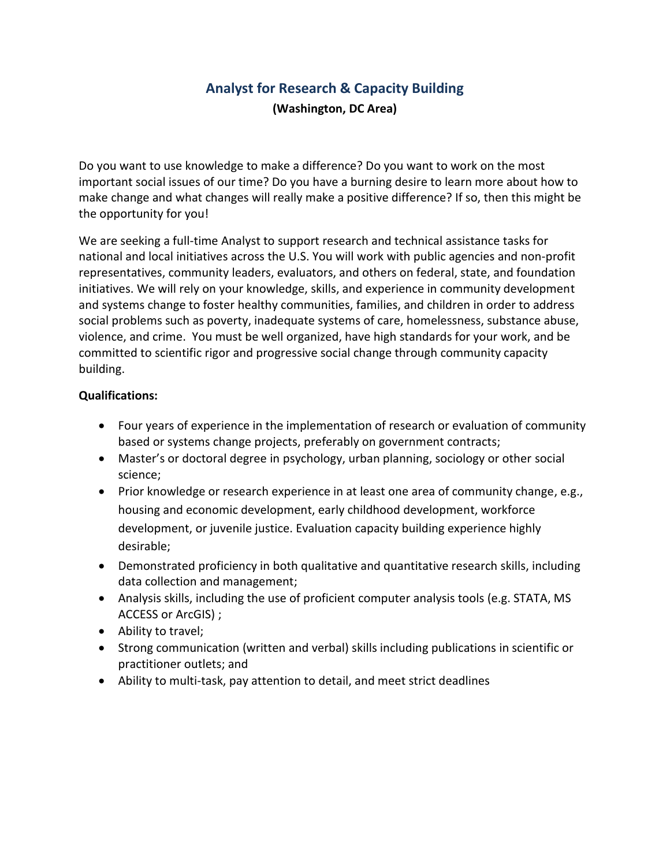## **Analyst for Research & Capacity Building (Washington, DC Area)**

Do you want to use knowledge to make a difference? Do you want to work on the most important social issues of our time? Do you have a burning desire to learn more about how to make change and what changes will really make a positive difference? If so, then this might be the opportunity for you!

We are seeking a full-time Analyst to support research and technical assistance tasks for national and local initiatives across the U.S. You will work with public agencies and non-profit representatives, community leaders, evaluators, and others on federal, state, and foundation initiatives. We will rely on your knowledge, skills, and experience in community development and systems change to foster healthy communities, families, and children in order to address social problems such as poverty, inadequate systems of care, homelessness, substance abuse, violence, and crime. You must be well organized, have high standards for your work, and be committed to scientific rigor and progressive social change through community capacity building.

## **Qualifications:**

- Four years of experience in the implementation of research or evaluation of community based or systems change projects, preferably on government contracts;
- Master's or doctoral degree in psychology, urban planning, sociology or other social science;
- Prior knowledge or research experience in at least one area of community change, e.g., housing and economic development, early childhood development, workforce development, or juvenile justice. Evaluation capacity building experience highly desirable;
- Demonstrated proficiency in both qualitative and quantitative research skills, including data collection and management;
- Analysis skills, including the use of proficient computer analysis tools (e.g. STATA, MS ACCESS or ArcGIS) ;
- Ability to travel;
- Strong communication (written and verbal) skills including publications in scientific or practitioner outlets; and
- Ability to multi-task, pay attention to detail, and meet strict deadlines